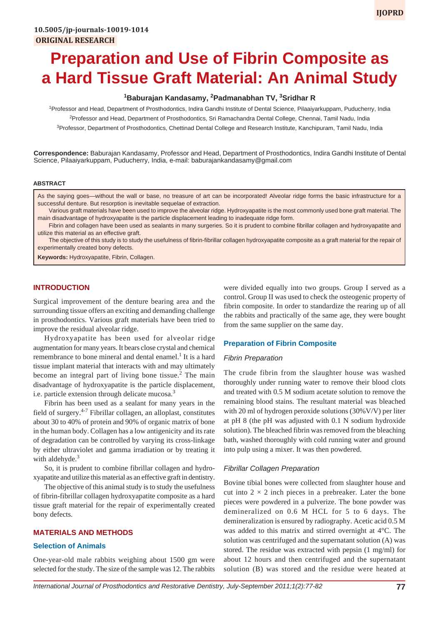# **Preparation and Use of Fibrin Composite as a Hard Tissue Graft Material: An Animal Study**

# **1 Baburajan Kandasamy, <sup>2</sup> Padmanabhan TV, 3 Sridhar R**

<sup>1</sup>Professor and Head, Department of Prosthodontics, Indira Gandhi Institute of Dental Science, Pilaaiyarkuppam, Puducherry, India <sup>2</sup>Professor and Head, Department of Prosthodontics, Sri Ramachandra Dental College, Chennai, Tamil Nadu, India <sup>3</sup>Professor, Department of Prosthodontics, Chettinad Dental College and Research Institute, Kanchipuram, Tamil Nadu, India

**Correspondence:** Baburajan Kandasamy, Professor and Head, Department of Prosthodontics, Indira Gandhi Institute of Dental Science, Pilaaiyarkuppam, Puducherry, India, e-mail: baburajankandasamy@gmail.com

#### **ABSTRACT**

As the saying goes—without the wall or base, no treasure of art can be incorporated! Alveolar ridge forms the basic infrastructure for a successful denture. But resorption is inevitable sequelae of extraction.

Various graft materials have been used to improve the alveolar ridge. Hydroxyapatite is the most commonly used bone graft material. The main disadvantage of hydroxyapatite is the particle displacement leading to inadequate ridge form.

Fibrin and collagen have been used as sealants in many surgeries. So it is prudent to combine fibrillar collagen and hydroxyapatite and utilize this material as an effective graft.

The objective of this study is to study the usefulness of fibrin-fibrillar collagen hydroxyapatite composite as a graft material for the repair of experimentally created bony defects.

**Keywords:** Hydroxyapatite, Fibrin, Collagen.

## **INTRODUCTION**

Surgical improvement of the denture bearing area and the surrounding tissue offers an exciting and demanding challenge in prosthodontics. Various graft materials have been tried to improve the residual alveolar ridge.

Hydroxyapatite has been used for alveolar ridge augmentation for many years. It bears close crystal and chemical remembrance to bone mineral and dental enamel.<sup>1</sup> It is a hard tissue implant material that interacts with and may ultimately become an integral part of living bone tissue.<sup>2</sup> The main disadvantage of hydroxyapatite is the particle displacement, i.e. particle extension through delicate mucosa.<sup>3</sup>

Fibrin has been used as a sealant for many years in the field of surgery. $4-7$  Fibrillar collagen, an alloplast, constitutes about 30 to 40% of protein and 90% of organic matrix of bone in the human body. Collagen has a low antigenicity and its rate of degradation can be controlled by varying its cross-linkage by either ultraviolet and gamma irradiation or by treating it with aldehyde. $3$ 

So, it is prudent to combine fibrillar collagen and hydroxyapatite and utilize this material as an effective graft in dentistry.

The objective of this animal study is to study the usefulness of fibrin-fibrillar collagen hydroxyapatite composite as a hard tissue graft material for the repair of experimentally created bony defects.

#### **MATERIALS AND METHODS**

#### **Selection of Animals**

One-year-old male rabbits weighing about 1500 gm were selected for the study. The size of the sample was 12. The rabbits were divided equally into two groups. Group I served as a control. Group II was used to check the osteogenic property of fibrin composite. In order to standardize the rearing up of all the rabbits and practically of the same age, they were bought from the same supplier on the same day.

#### **Preparation of Fibrin Composite**

#### *Fibrin Preparation*

The crude fibrin from the slaughter house was washed thoroughly under running water to remove their blood clots and treated with 0.5 M sodium acetate solution to remove the remaining blood stains. The resultant material was bleached with 20 ml of hydrogen peroxide solutions (30%V/V) per liter at pH 8 (the pH was adjusted with 0.1 N sodium hydroxide solution). The bleached fibrin was removed from the bleaching bath, washed thoroughly with cold running water and ground into pulp using a mixer. It was then powdered.

#### *Fibrillar Collagen Preparation*

Bovine tibial bones were collected from slaughter house and cut into  $2 \times 2$  inch pieces in a prebreaker. Later the bone pieces were powdered in a pulverize. The bone powder was demineralized on 0.6 M HCL for 5 to 6 days. The demineralization is ensured by radiography. Acetic acid 0.5 M was added to this matrix and stirred overnight at 4°C. The solution was centrifuged and the supernatant solution (A) was stored. The residue was extracted with pepsin (1 mg/ml) for about 12 hours and then centrifuged and the supernatant solution (B) was stored and the residue were heated at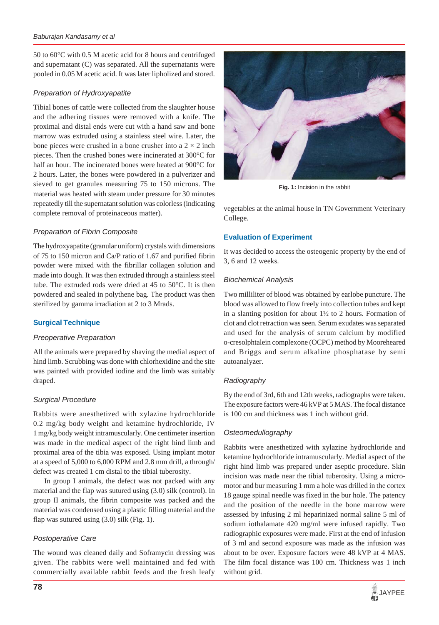50 to 60°C with 0.5 M acetic acid for 8 hours and centrifuged and supernatant (C) was separated. All the supernatants were pooled in 0.05 M acetic acid. It was later lipholized and stored.

# *Preparation of Hydroxyapatite*

Tibial bones of cattle were collected from the slaughter house and the adhering tissues were removed with a knife. The proximal and distal ends were cut with a hand saw and bone marrow was extruded using a stainless steel wire. Later, the bone pieces were crushed in a bone crusher into a  $2 \times 2$  inch pieces. Then the crushed bones were incinerated at 300°C for half an hour. The incinerated bones were heated at 900°C for 2 hours. Later, the bones were powdered in a pulverizer and sieved to get granules measuring 75 to 150 microns. The material was heated with steam under pressure for 30 minutes repeatedly till the supernatant solution was colorless (indicating complete removal of proteinaceous matter).

# *Preparation of Fibrin Composite*

The hydroxyapatite (granular uniform) crystals with dimensions of 75 to 150 micron and Ca/P ratio of 1.67 and purified fibrin powder were mixed with the fibrillar collagen solution and made into dough. It was then extruded through a stainless steel tube. The extruded rods were dried at 45 to 50°C. It is then powdered and sealed in polythene bag. The product was then sterilized by gamma irradiation at 2 to 3 Mrads.

# **Surgical Technique**

## *Preoperative Preparation*

All the animals were prepared by shaving the medial aspect of hind limb. Scrubbing was done with chlorhexidine and the site was painted with provided iodine and the limb was suitably draped.

## *Surgical Procedure*

Rabbits were anesthetized with xylazine hydrochloride 0.2 mg/kg body weight and ketamine hydrochloride, IV 1 mg/kg body weight intramuscularly. One centimeter insertion was made in the medical aspect of the right hind limb and proximal area of the tibia was exposed. Using implant motor at a speed of 5,000 to 6,000 RPM and 2.8 mm drill, a through/ defect was created 1 cm distal to the tibial tuberosity.

In group I animals, the defect was not packed with any material and the flap was sutured using (3.0) silk (control). In group II animals, the fibrin composite was packed and the material was condensed using a plastic filling material and the flap was sutured using (3.0) silk (Fig. 1).

# *Postoperative Care*

The wound was cleaned daily and Soframycin dressing was given. The rabbits were well maintained and fed with commercially available rabbit feeds and the fresh leafy



**Fig. 1:** Incision in the rabbit

vegetables at the animal house in TN Government Veterinary College.

# **Evaluation of Experiment**

It was decided to access the osteogenic property by the end of 3, 6 and 12 weeks.

## *Biochemical Analysis*

Two milliliter of blood was obtained by earlobe puncture. The blood was allowed to flow freely into collection tubes and kept in a slanting position for about 1½ to 2 hours. Formation of clot and clot retraction was seen. Serum exudates was separated and used for the analysis of serum calcium by modified o-cresolphtalein complexone (OCPC) method by Mooreheared and Briggs and serum alkaline phosphatase by semi autoanalyzer.

## *Radiography*

By the end of 3rd, 6th and 12th weeks, radiographs were taken. The exposure factors were 46 kVP at 5 MAS. The focal distance is 100 cm and thickness was 1 inch without grid.

## *Osteomedullography*

Rabbits were anesthetized with xylazine hydrochloride and ketamine hydrochloride intramuscularly. Medial aspect of the right hind limb was prepared under aseptic procedure. Skin incision was made near the tibial tuberosity. Using a micromotor and bur measuring 1 mm a hole was drilled in the cortex 18 gauge spinal needle was fixed in the bur hole. The patency and the position of the needle in the bone marrow were assessed by infusing 2 ml heparinized normal saline 5 ml of sodium iothalamate 420 mg/ml were infused rapidly. Two radiographic exposures were made. First at the end of infusion of 3 ml and second exposure was made as the infusion was about to be over. Exposure factors were 48 kVP at 4 MAS. The film focal distance was 100 cm. Thickness was 1 inch without grid.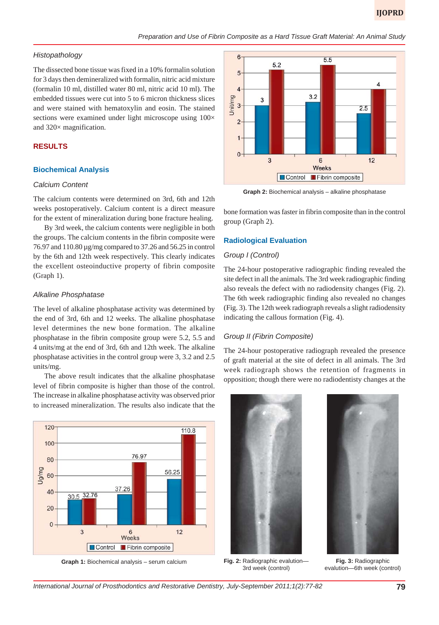## *Histopathology*

The dissected bone tissue was fixed in a 10% formalin solution for 3 days then demineralized with formalin, nitric acid mixture (formalin 10 ml, distilled water 80 ml, nitric acid 10 ml). The embedded tissues were cut into 5 to 6 micron thickness slices and were stained with hematoxylin and eosin. The stained sections were examined under light microscope using  $100\times$ and 320× magnification.

## **RESULTS**

#### **Biochemical Analysis**

#### *Calcium Content*

The calcium contents were determined on 3rd, 6th and 12th weeks postoperatively. Calcium content is a direct measure for the extent of mineralization during bone fracture healing.

By 3rd week, the calcium contents were negligible in both the groups. The calcium contents in the fibrin composite were 76.97 and 110.80 µg/mg compared to 37.26 and 56.25 in control by the 6th and 12th week respectively. This clearly indicates the excellent osteoinductive property of fibrin composite (Graph 1).

## *Alkaline Phosphatase*

The level of alkaline phosphatase activity was determined by the end of 3rd, 6th and 12 weeks. The alkaline phosphatase level determines the new bone formation. The alkaline phosphatase in the fibrin composite group were 5.2, 5.5 and 4 units/mg at the end of 3rd, 6th and 12th week. The alkaline phosphatase activities in the control group were 3, 3.2 and 2.5 units/mg.

The above result indicates that the alkaline phosphatase level of fibrin composite is higher than those of the control. The increase in alkaline phosphatase activity was observed prior to increased mineralization. The results also indicate that the



**Graph 1:** Biochemical analysis – serum calcium



**Graph 2:** Biochemical analysis – alkaline phosphatase

bone formation was faster in fibrin composite than in the control group (Graph 2).

#### **Radiological Evaluation**

## *Group I (Control)*

The 24-hour postoperative radiographic finding revealed the site defect in all the animals. The 3rd week radiographic finding also reveals the defect with no radiodensity changes (Fig. 2). The 6th week radiographic finding also revealed no changes (Fig. 3). The 12th week radiograph reveals a slight radiodensity indicating the callous formation (Fig. 4).

#### *Group II (Fibrin Composite)*

The 24-hour postoperative radiograph revealed the presence of graft material at the site of defect in all animals. The 3rd week radiograph shows the retention of fragments in opposition; though there were no radiodentisty changes at the



3rd week (control)

**Fig. 3:** Radiographic evalution—6th week (control)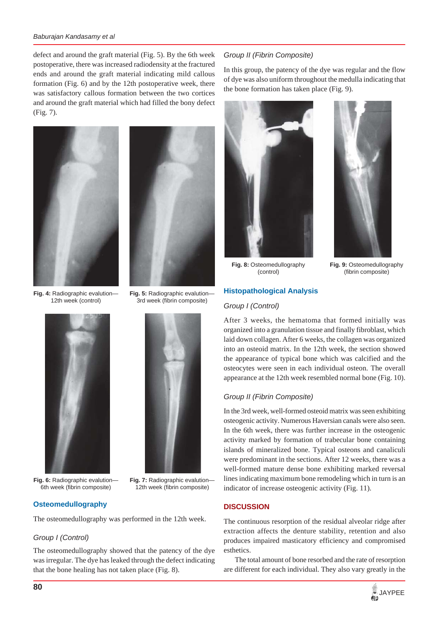#### *Baburajan Kandasamy et al*

defect and around the graft material (Fig. 5). By the 6th week postoperative, there was increased radiodensity at the fractured ends and around the graft material indicating mild callous formation (Fig. 6) and by the 12th postoperative week, there was satisfactory callous formation between the two cortices and around the graft material which had filled the bony defect (Fig. 7).





**Fig. 5:** Radiographic evalution— 3rd week (fibrin composite)

**Fig. 4:** Radiographic evalution— 12th week (control)



**Fig. 6:** Radiographic evalution— 6th week (fibrin composite)

**Fig. 7:** Radiographic evalution— 12th week (fibrin composite)

## **Osteomedullography**

The osteomedullography was performed in the 12th week.

## *Group I (Control)*

The osteomedullography showed that the patency of the dye was irregular. The dye has leaked through the defect indicating that the bone healing has not taken place (Fig. 8).

## *Group II (Fibrin Composite)*

In this group, the patency of the dye was regular and the flow of dye was also uniform throughout the medulla indicating that the bone formation has taken place (Fig. 9).





**Fig. 8:** Osteomedullography (control)

**Fig. 9:** Osteomedullography (fibrin composite)

## **Histopathological Analysis**

#### *Group I (Control)*

After 3 weeks, the hematoma that formed initially was organized into a granulation tissue and finally fibroblast, which laid down collagen. After 6 weeks, the collagen was organized into an osteoid matrix. In the 12th week, the section showed the appearance of typical bone which was calcified and the osteocytes were seen in each individual osteon. The overall appearance at the 12th week resembled normal bone (Fig. 10).

#### *Group II (Fibrin Composite)*

In the 3rd week, well-formed osteoid matrix was seen exhibiting osteogenic activity. Numerous Haversian canals were also seen. In the 6th week, there was further increase in the osteogenic activity marked by formation of trabecular bone containing islands of mineralized bone. Typical osteons and canaliculi were predominant in the sections. After 12 weeks, there was a well-formed mature dense bone exhibiting marked reversal lines indicating maximum bone remodeling which in turn is an indicator of increase osteogenic activity (Fig. 11).

## **DISCUSSION**

The continuous resorption of the residual alveolar ridge after extraction affects the denture stability, retention and also produces impaired masticatory efficiency and compromised esthetics.

The total amount of bone resorbed and the rate of resorption are different for each individual. They also vary greatly in the

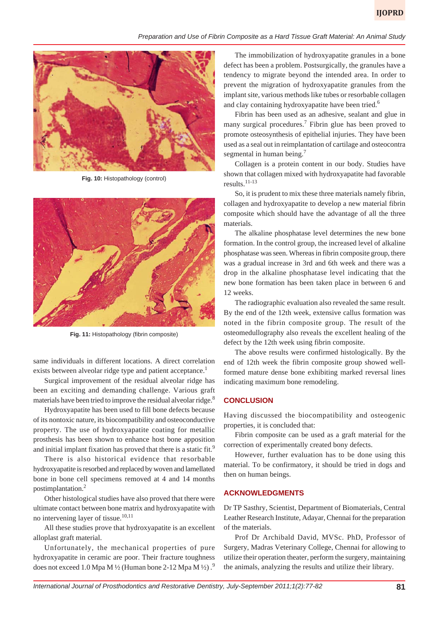#### *Preparation and Use of Fibrin Composite as a Hard Tissue Graft Material: An Animal Study*



**Fig. 10:** Histopathology (control)



**Fig. 11:** Histopathology (fibrin composite)

same individuals in different locations. A direct correlation exists between alveolar ridge type and patient acceptance.<sup>1</sup>

Surgical improvement of the residual alveolar ridge has been an exciting and demanding challenge. Various graft materials have been tried to improve the residual alveolar ridge.<sup>8</sup>

Hydroxyapatite has been used to fill bone defects because of its nontoxic nature, its biocompatibility and osteoconductive property. The use of hydroxyapatite coating for metallic prosthesis has been shown to enhance host bone apposition and initial implant fixation has proved that there is a static fit.<sup>9</sup>

There is also historical evidence that resorbable hydroxyapatite is resorbed and replaced by woven and lamellated bone in bone cell specimens removed at 4 and 14 months postimplantation.<sup>2</sup>

Other histological studies have also proved that there were ultimate contact between bone matrix and hydroxyapatite with no intervening layer of tissue.<sup>10,11</sup>

All these studies prove that hydroxyapatite is an excellent alloplast graft material.

Unfortunately, the mechanical properties of pure hydroxyapatite in ceramic are poor. Their fracture toughness does not exceed 1.0 Mpa M  $\frac{1}{2}$  (Human bone 2-12 Mpa M  $\frac{1}{2}$ ).

The immobilization of hydroxyapatite granules in a bone defect has been a problem. Postsurgically, the granules have a tendency to migrate beyond the intended area. In order to prevent the migration of hydroxyapatite granules from the implant site, various methods like tubes or resorbable collagen and clay containing hydroxyapatite have been tried.<sup>6</sup>

Fibrin has been used as an adhesive, sealant and glue in many surgical procedures.<sup>7</sup> Fibrin glue has been proved to promote osteosynthesis of epithelial injuries. They have been used as a seal out in reimplantation of cartilage and osteocontra segmental in human being.<sup>7</sup>

Collagen is a protein content in our body. Studies have shown that collagen mixed with hydroxyapatite had favorable results. $11-13$ 

So, it is prudent to mix these three materials namely fibrin, collagen and hydroxyapatite to develop a new material fibrin composite which should have the advantage of all the three materials.

The alkaline phosphatase level determines the new bone formation. In the control group, the increased level of alkaline phosphatase was seen. Whereas in fibrin composite group, there was a gradual increase in 3rd and 6th week and there was a drop in the alkaline phosphatase level indicating that the new bone formation has been taken place in between 6 and 12 weeks.

The radiographic evaluation also revealed the same result. By the end of the 12th week, extensive callus formation was noted in the fibrin composite group. The result of the osteomedullography also reveals the excellent healing of the defect by the 12th week using fibrin composite.

The above results were confirmed histologically. By the end of 12th week the fibrin composite group showed wellformed mature dense bone exhibiting marked reversal lines indicating maximum bone remodeling.

## **CONCLUSION**

Having discussed the biocompatibility and osteogenic properties, it is concluded that:

Fibrin composite can be used as a graft material for the correction of experimentally created bony defects.

However, further evaluation has to be done using this material. To be confirmatory, it should be tried in dogs and then on human beings.

#### **ACKNOWLEDGMENTS**

Dr TP Sasthry, Scientist, Department of Biomaterials, Central Leather Research Institute, Adayar, Chennai for the preparation of the materials.

Prof Dr Archibald David, MVSc. PhD, Professor of Surgery, Madras Veterinary College, Chennai for allowing to utilize their operation theater, perform the surgery, maintaining the animals, analyzing the results and utilize their library.